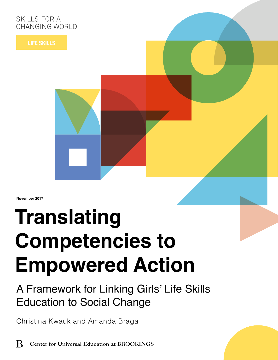# SKILLS FOR A CHANGING WORLD

**LIFE SKILLS**

**November 2017**

# **Translating Competencies to Empowered Action**

# A Framework for Linking Girls' Life Skills Education to Social Change

Christina Kwauk and Amanda Braga

**B** Center for Universal Education at BROOKINGS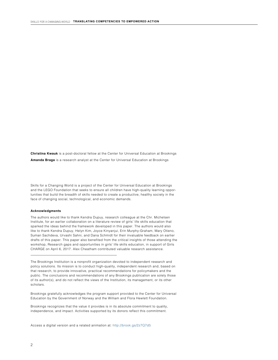**Christina Kwauk** is a post-doctoral fellow at the Center for Universal Education at Brookings **Amanda Braga** is a research analyst at the Center for Universal Education at Brookings

Skills for a Changing World is a project of the Center for Universal Education at Brookings and the LEGO Foundation that seeks to ensure all children have high-quality learning opportunities that build the breadth of skills needed to create a productive, healthy society in the face of changing social, technological, and economic demands.

#### **Acknowledgments**

The authors would like to thank Kendra Dupuy, research colleague at the Chr. Michelsen Institute, for an earlier collaboration on a literature review of girls' life skills education that sparked the ideas behind the framework developed in this paper. The authors would also like to thank Kendra Dupuy, Helyn Kim, Joyce Kinyanjui, Erin Murphy-Graham, Mary Otieno, Suman Sachdeva, Urvashi Sahni, and Dana Schmidt for their invaluable feedback on earlier drafts of this paper. This paper also benefited from the critical insights of those attending the workshop, Research gaps and opportunities in girls' life skills education, in support of Girls CHARGE on April 6, 2017. Alex Cheatham contributed valuable research assistance.

The Brookings Institution is a nonprofit organization devoted to independent research and policy solutions. Its mission is to conduct high-quality, independent research and, based on that research, to provide innovative, practical recommendations for policymakers and the public. The conclusions and recommendations of any Brookings publication are solely those of its author(s), and do not reflect the views of the Institution, its management, or its other scholars.

Brookings gratefully acknowledges the program support provided to the Center for Universal Education by the Government of Norway and the William and Flora Hewlett Foundation.

Brookings recognizes that the value it provides is in its absolute commitment to quality, independence, and impact. Activities supported by its donors reflect this commitment.

Access a digital version and a related animation at: <http://brook.gs/2z7Q7d5>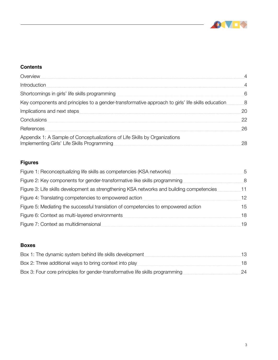

L

#### **Contents**

| Overview                                                                                                                  | $\overline{4}$ |
|---------------------------------------------------------------------------------------------------------------------------|----------------|
| Introduction                                                                                                              | 4              |
| Shortcomings in girls' life skills programming                                                                            | 6              |
| Key components and principles to a gender-transformative approach to girls' life skills education                         | 8              |
| Implications and next steps                                                                                               | 20             |
| Conclusions                                                                                                               | 22             |
| References                                                                                                                | 26             |
| Appendix 1: A Sample of Conceptualizations of Life Skills by Organizations<br>Implementing Girls' Life Skills Programming | 28             |

## **Figures**

| Figure 1: Reconceptualizing life skills as competencies (KSA networks)                    | 5  |
|-------------------------------------------------------------------------------------------|----|
| Figure 2: Key components for gender-transformative like skills programming                | 8  |
| Figure 3: Life skills development as strengthening KSA networks and building competencies | 11 |
| Figure 4: Translating competencies to empowered action                                    | 12 |
| Figure 5: Mediating the successful translation of competencies to empowered action        | 15 |
| Figure 6: Context as multi-layered environments                                           | 18 |
| Figure 7: Context as multidimensional                                                     | 19 |

#### **Boxes**

| Box 1: The dynamic system behind life skills development                      | 13 |
|-------------------------------------------------------------------------------|----|
| Box 2: Three additional ways to bring context into play                       | 18 |
| Box 3: Four core principles for gender-transformative life skills programming | 24 |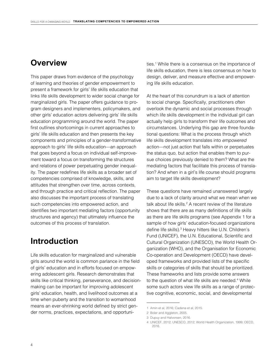# <span id="page-3-0"></span>**Overview**

This paper draws from evidence of the psychology of learning and theories of gender empowerment to present a framework for girls' life skills education that links life skills development to wider social change for marginalized girls. The paper offers guidance to program designers and implementers, policymakers, and other girls' education actors delivering girls' life skills education programming around the world. The paper first outlines shortcomings in current approaches to girls' life skills education and then presents the key components and principles of a gender-transformative approach to girls' life skills education—an approach that goes beyond a focus on individual self-improvement toward a focus on transforming the structures and relations of power perpetuating gender inequality. The paper redefines life skills as a broader set of competencies comprised of knowledge, skills, and attitudes that strengthen over time, across contexts, and through practice and critical reflection. The paper also discusses the important process of translating such competencies into empowered action, and identifies two important mediating factors (opportunity structures and agency) that ultimately influence the outcomes of this process of translation.

# **Introduction**

Life skills education for marginalized and vulnerable girls around the world is common parlance in the field of girls' education and in efforts focused on empowering adolescent girls. Research demonstrates that skills like critical thinking, perseverance, and decisionmaking can be important for improving adolescent girls' education, health, and livelihood outcomes at a time when puberty and the transition to womanhood means an ever-shrinking world defined by strict gender norms, practices, expectations, and opportuni-

ties.<sup>1</sup> While there is a consensus on the importance of life skills education, there is less consensus on how to design, deliver, and measure effective and empowering life skills education.

At the heart of this conundrum is a lack of attention to social change. Specifically, practitioners often overlook the dynamic and social processes through which life skills development in the individual girl can actually help girls to transform their life outcomes and circumstances. Underlying this gap are three foundational questions: What is the process through which life skills development translates into *empowered*  action—not just action that falls within or perpetuates the status quo, but action that enables them to pursue choices previously denied to them? What are the mediating factors that facilitate this process of translation? And when in a girl's life course should programs aim to target life skills development?

These questions have remained unanswered largely due to a lack of clarity around what we mean when we talk about life skills.<sup>2</sup> A recent review of the literature shows that there are as many definitions of life skills as there are life skills programs (see Appendix 1 for a sample of how girls' education-focused organizations define life skills).<sup>3</sup> Heavy hitters like U.N. Children's Fund (UNICEF), the U.N. Educational, Scientific and Cultural Organization (UNESCO), the World Health Organization (WHO), and the Organisation for Economic Co-operation and Development (OECD) have developed frameworks and provided lists of the specific skills or categories of skills that should be prioritized. These frameworks and lists provide some answers to the question of what life skills are needed.<sup>4</sup> While some such actors view life skills as a range of protective cognitive, economic, social, and developmental

<sup>1</sup> Amin et al, 2016; Cadena et al, 2015.

<sup>2</sup> Boler and Aggleton, 2005.

<sup>3</sup> Dupuy and Halvorsen, 2016.

<sup>4</sup> UNICEF, 2012; UNESCO, 2012; World Health Organization, 1999; OECD, 2016.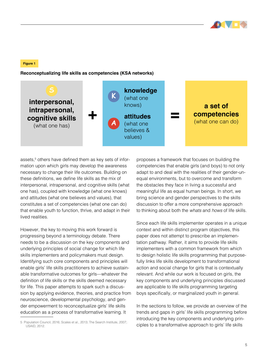

#### **Figure 1**

**Reconceptualizing life skills as competencies (KSA networks)**



assets,<sup>5</sup> others have defined them as key sets of information upon which girls may develop the awareness necessary to change their life outcomes. Building on these definitions, we define life skills as the mix of interpersonal, intrapersonal, and cognitive skills (what one has), coupled with knowledge (what one knows) and attitudes (what one believes and values), that constitutes a set of competencies (what one can do) that enable youth to function, thrive, and adapt in their lived realities.

However, the key to moving this work forward is progressing beyond a terminology debate. There needs to be a discussion on the key components and underlying principles of social change for which life skills implementers and policymakers must design. Identifying such core components and principles will enable girls' life skills practitioners to achieve sustainable transformative outcomes for girls—whatever the definition of life skills or the skills deemed necessary for life. This paper attempts to spark such a discussion by applying evidence, theories, and practice from neuroscience, developmental psychology, and gender empowerment to reconceptualize girls' life skills education as a process of transformative learning. It

proposes a framework that focuses on building the competencies that enable girls (and boys) to not only adapt to and deal with the realities of their gender-unequal environments, but to overcome and transform the obstacles they face in living a successful and meaningful life as equal human beings. In short, we bring science and gender perspectives to the skills discussion to offer a more comprehensive approach to thinking about both the *whats* and *hows* of life skills.

Since each life skills implementer operates in a unique context and within distinct program objectives, this paper does not attempt to prescribe an implementation pathway. Rather, it aims to provide life skills implementers with a common framework from which to design holistic life skills programming that purposefully links life skills development to transformational action and social change for girls that is contextually relevant. And while our work is focused on girls, the key components and underlying principles discussed are applicable to life skills programming targeting boys specifically, or marginalized youth in general.

In the sections to follow, we provide an overview of the trends and gaps in girls' life skills programming before introducing the key components and underlying principles to a transformative approach to girls' life skills

<sup>5</sup> Population Council, 2016; Scales et al., 2013; The Search Institute, 2007; USAID, 2012.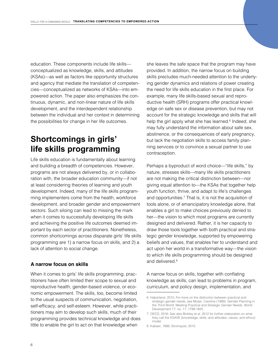<span id="page-5-0"></span>education. These components include life skills conceptualized as knowledge, skills, and attitudes (KSAs)—as well as factors like opportunity structures and agency that mediate the translation of competencies—conceptualized as networks of KSAs—into empowered action. The paper also emphasizes the continuous, dynamic, and non-linear nature of life skills development, and the interdependent relationship between the individual and her context in determining the possibilities for change in her life outcomes.

# **Shortcomings in girls' life skills programming**

Life skills education is fundamentally about learning and building a breadth of competencies. However, programs are not always delivered by, or in collaboration with, the broader education community—if not at least considering theories of learning and youth development. Indeed, many of the life skills programming implementers come from the health, workforce development, and broader gender and empowerment sectors. Such siloing can lead to missing the mark when it comes to successfully developing life skills and achieving the positive life outcomes deemed important by each sector of practitioners. Nonetheless, common shortcomings across disparate girls' life skills programming are 1) a narrow focus on skills, and 2) a lack of attention to social change.

#### **A narrow focus on skills**

When it comes to girls' life skills programming, practitioners have often limited their scope to sexual and reproductive health, gender-based violence, or economic empowerment. The skills, too, become limited to the usual suspects of communication, negotiation, self-efficacy, and self-esteem. However, while practitioners may aim to develop such skills, much of their programming provides technical knowledge and does little to enable the girl to act on that knowledge when

she leaves the safe space that the program may have provided. In addition, the narrow focus on building skills precludes much-needed attention to the underlying gender dynamics and relations of power creating the need for life skills education in the first place. For example, many life skills-based sexual and reproductive health (SRH) programs offer practical knowledge on safe sex or disease prevention, but may not account for the strategic knowledge and skills that will help the girl apply what she has learned.<sup>6</sup> Indeed, she may fully understand the information about safe sex, abstinence, or the consequences of early pregnancy, but lack the negotiation skills to access family planning services or to convince a sexual partner to use contraception.

Perhaps a byproduct of word choice—"life skills," by nature, stresses skills—many life skills practitioners are not making the critical distinction between—nor giving equal attention to—the KSAs that together help youth function, thrive, and adapt to life's challenges and opportunities.7 That is, it is not the acquisition of tools alone, or of emancipatory knowledge alone, that enables a girl to make choices previously denied to her—the vision to which most programs are currently designed and delivered. Rather, it is her capacity to draw those tools together with both practical and strategic gender knowledge, supported by empowering beliefs and values, that enables her to understand and act upon her world in a transformative way—the vision to which life skills programming should be designed and delivered.<sup>8</sup>

A narrow focus on skills, together with conflating knowledge as skills, can lead to problems in program, curriculum, and policy design, implementation, and

8 Kabeer, 1999; Stromquist, 2015.

<sup>6</sup> Haberland, 2015; For more on the distinction between practical and strategic gender needs, see Moser, Caroline (1989). Gender Planning in the Third World: Meeting Practical and Strategic Gender Needs. World Development 17, no. 11: 1799-1825.

<sup>7</sup> OECD, 2016; See also Binkley et al. 2012 for further elaboration on what they call the KSAVE (knowledge, skills, and attitudes, values, and ethics) model.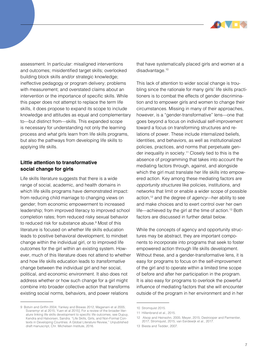

assessment. In particular: misaligned interventions and outcomes; misidentified target skills; overlooked building block skills and/or strategic knowledge; ineffective pedagogy or program delivery; problems with measurement; and overstated claims about an intervention or the importance of specific skills. While this paper does not attempt to replace the term life skills, it does propose to expand its scope to include knowledge and attitudes as equal and complementary to—but distinct from—skills. This expanded scope is necessary for understanding not only the learning process and *what* girls learn from life skills programs, but also the pathways from developing life skills to applying life skills.

#### **Little attention to transformative social change for girls**

Life skills literature suggests that there is a wide range of social, academic, and health domains in which life skills programs have demonstrated impact: from reducing child marriage to changing views on gender; from economic empowerment to increased leadership; from improved literacy to improved school completion rates; from reduced risky sexual behavior to reduced risk for substance abuse.<sup>9</sup> Most of this literature is focused on whether life skills education leads to positive behavioral development, to mindset change within the individual girl, or to improved life outcomes for the girl within an existing system. However, much of this literature does not attend to whether and how life skills education leads to *transformative* change between the individual girl and her social, political, and economic environment. It also does not address whether or how such change for a girl might combine into broader collective action that transforms existing social norms, behaviors, and power relations

that have systematically placed girls and women at a disadvantage.<sup>10</sup>

This lack of attention to wider social change is troubling since the rationale for many girls' life skills practitioners is to combat the effects of gender discrimination and to empower girls and women to change their circumstances. Missing in many of their approaches, however, is a "gender-transformative" lens—one that goes beyond a focus on individual self-improvement toward a focus on transforming structures and relations of power. These include internalized beliefs, identities, and behaviors, as well as institutionalized policies, practices, and norms that perpetuate gender inequality in society.11 Closely tied to this is the absence of programming that takes into account the mediating factors through, against, and alongside which the girl must translate her life skills into empowered action. Key among these mediating factors are *opportunity structures* like policies, institutions, and networks that limit or enable a wider scope of possible action,12 and the degree of *agency*—her ability to see and make choices and to exert control over her own life—achieved by the girl at the time of action.<sup>13</sup> Both factors are discussed in further detail below.

While the concepts of agency and opportunity structures may be abstract, they are important components to incorporate into programs that seek to foster empowered action through life skills development. Without these, and a gender-transformative lens, it is easy for programs to focus on the self-improvement of the girl and to operate within a limited time scope of before and after her participation in the program. It is also easy for programs to overlook the powerful influence of mediating factors that she will encounter outside of the program in her environment and in her

<sup>9</sup> Botvin and Griffin 2004; Yankey and Biswas 2012; Maganani et al 2005; Svanemyr et al 2015; Yuen et al 2015]; For a review of the broader literature linking life skills development to specific life outcomes, see Dupuy, Kendra and Halvorsen, Sandra. "Life Skills, Girls, and Non-Formal Contexts in Developing Countries: A Global Literature Review," Unpublished draft manuscript, Chr. Michelsen Institute, 2016.

<sup>10</sup> Stromquist 2015.

<sup>11</sup> Hillenbrand et al., 2015.

<sup>12</sup> Alsop and Heinsohn, 2005; Meyer, 2015; Destrooper and Parmentier, 2017; Stromquist, 2015; van Eerdewijk et al., 2017.

<sup>13</sup> Biesta and Tedder, 2007.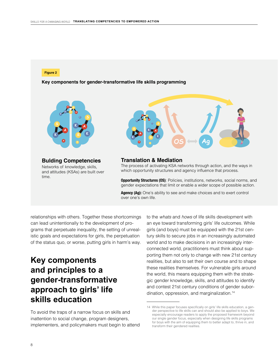<span id="page-7-0"></span>**Figure 2**

**Key components for gender-transformative life skills programming**



**Bulding Competencies** Networks of knowledge, skills, and attitudes (KSAs) are built over time.



#### **Translation & Mediation**

The process of activating KSA networks through action, and the ways in which opportunity structures and agency influence that process.

**Opportunity Structures (OS)**: Policies, institutions, networks, social norms, and gender expectations that limit or enable a wider scope of possible action.

**Agency (Ag):** One's ability to see and make choices and to exert control over one's own life.

relationships with others. Together these shortcomings can lead unintentionally to the development of programs that perpetuate inequality, the setting of unrealistic goals and expectations for girls, the perpetuation of the status quo, or worse, putting girls in harm's way.

# **Key components and principles to a gender-transformative approach to girls' life skills education**

To avoid the traps of a narrow focus on skills and inattention to social change, program designers, implementers, and policymakers must begin to attend to the *whats* and *hows* of life skills development with an eye toward transforming girls' life outcomes. While girls (and boys) must be equipped with the 21st century skills to secure jobs in an increasingly automated world and to make decisions in an increasingly interconnected world, practitioners must think about supporting them not only to change with new 21st century realities, but also to set their own course and to shape these realities themselves. For vulnerable girls around the world, this means equipping them with the strategic gender knowledge, skills, and attitudes to identify and contest 21st century conditions of gender subordination, oppression, and marginalization.14

<sup>14</sup> While this paper focuses specifically on girls' life skills education, a gender perspective to life skills can and should also be applied to boys. We especially encourage readers to apply the proposed framework beyond our single gender focus, especially when designing life skills programs for boys with the aim of equipping them to better adapt to, thrive in, and transform their gendered realities.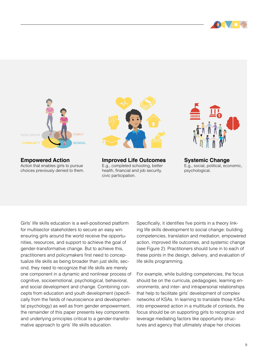



**Empowered Action** Action that enables girls to pursue choices previously denied to them.



**Improved Life Outcomes** E.g., completed schooling, better health, financial and job security, civic participation.



**Systemic Change** E.g., social, political, economic, psychological.

Girls' life skills education is a well-positioned platform for multisector stakeholders to secure an easy win: ensuring girls around the world receive the opportunities, resources, and support to achieve the goal of gender-transformative change. But to achieve this, practitioners and policymakers first need to conceptualize life skills as being broader than just skills; second, they need to recognize that life skills are merely one component in a dynamic and nonlinear process of cognitive, socioemotional, psychological, behavioral, and social development and change. Combining concepts from education and youth development (specifically from the fields of neuroscience and developmental psychology) as well as from gender empowerment, the remainder of this paper presents key components and underlying principles critical to a gender-transformative approach to girls' life skills education.

Specifically, it identifies five points in a theory linking life skills development to social change: building competencies, translation and mediation, empowered action, improved life outcomes, and systemic change (see Figure 2). Practitioners should tune in to each of these points in the design, delivery, and evaluation of life skills programming.

For example, while building competencies, the focus should be on the curricula, pedagogies, learning environments, and inter- and intrapersonal relationships that help to facilitate girls' development of complex networks of KSAs. In learning to translate those KSAs into empowered action in a multitude of contexts, the focus should be on supporting girls to recognize and leverage mediating factors like opportunity structures and agency that ultimately shape her choices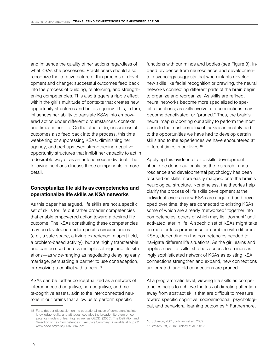and influence the quality of her actions regardless of what KSAs she possesses. Practitioners should also recognize the iterative nature of this process of development and change: successful outcomes feed back into the process of building, reinforcing, and strengthening competencies. This also triggers a ripple effect within the girl's multitude of contexts that creates new opportunity structures and builds agency. This, in turn, influences her ability to translate KSAs into empowered action under different circumstances, contexts, and times in her life. On the other side, unsuccessful outcomes also feed back into the process, this time weakening or suppressing KSAs, diminishing her agency, and perhaps even strengthening negative opportunity structures that inhibit her capacity to act in a desirable way or as an autonomous individual. The following sections discuss these components in more detail.

#### **Conceptualize life skills as competencies and operationalize life skills as KSA networks**

As this paper has argued, life skills are not a specific set of skills for life but rather broader competencies that enable empowered action toward a desired life outcome. The KSAs constituting these competencies may be developed under specific circumstances (e.g., a safe space, a trying experience, a sport field, a problem-based activity), but are highly transferable and can be used across multiple settings and life situations—as wide-ranging as negotiating delaying early marriage, persuading a partner to use contraception, or resolving a conflict with a peer.<sup>15</sup>

KSAs can be further conceptualized as a network of interconnected cognitive, non-cognitive, and meta-cognitive assets, akin to the interconnected neurons in our brains that allow us to perform specific

functions with our minds and bodies (see Figure 3). Indeed, evidence from neuroscience and developmental psychology suggests that when infants develop new skills like facial recognition or crawling, the neural networks connecting different parts of the brain begin to organize and reorganize. As skills are refined, neural networks become more specialized to specific functions; as skills evolve, old connections may become deactivated, or "pruned." Thus, the brain's neural map supporting our ability to perform the most basic to the most complex of tasks is intricately tied to the opportunities we have had to develop certain skills and to the experiences we have encountered at different times in our lives.<sup>16</sup>

Applying this evidence to life skills development should be done cautiously, as the research in neuroscience and developmental psychology has been focused on skills more easily mapped onto the brain's neurological structure. Nonetheless, the theories help clarify the process of life skills development at the individual level: as new KSAs are acquired and developed over time, they are connected to existing KSAs, some of which are already "networked" together into competencies, others of which may lie "dormant" until activated later in life. A specific set of KSAs might take on more or less prominence or combine with different KSAs, depending on the competencies needed to navigate different life situations. As the girl learns and applies new life skills, she has access to an increasingly sophisticated network of KSAs as existing KSA connections strengthen and expand, new connections are created, and old connections are pruned.

At a programmatic level, viewing life skills as competencies helps to achieve the task of directing attention away from abstract skills that are difficult to measure toward specific cognitive, socioemotional, psychological, and behavioral learning outcomes.17 Furthermore,

<sup>15</sup> For a deeper discussion on the operationalization of competencies into knowledge, skills, and attitudes, see also the broader literature on competency models of learning, as well as OECD. (2005). The Definition and Selection of Key Competences: Executive Summary. Available at https:// www.oecd.org/pisa/35070367.pdf.

<sup>16</sup> Johnson, 2001; Johnson et al., 2009.

<sup>17</sup> Whitehurst, 2016; Binkley et al., 2012.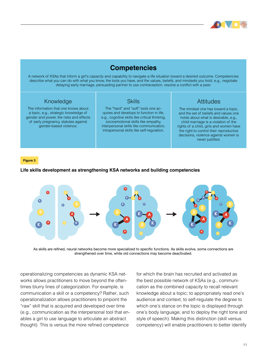

## **Competencies**

A network of KSAs that inform a girl's capacity and capability to navigate a life situation toward a desired outcome. Competencies describe what you can do with what you know, the tools you have, and the values, beliefs, and mindsets you hold, e.g., negotiate delaying early marriage, persuading partner to use contraception, resolve a conflict with a peer.

#### Knowledge

The information that one knows about a topic, e.g., strategic knowledge of gender and power, the risks and effects of early pregnancy, statutes against gender-based violence.

#### **Skills**

The "hard" and "soft" tools one acquires and develops to function in life, e.g., cognitive skills like critical thinking, socioemotional skills like empathy, interpersonal skills like communication, intrapersonal skills like self-regulation.

### **Attitudes**

The mindset one has toward a topic, and the set of beliefs and values one holds about what is desirable, e.g., child marriage is a violation of the rights of a child, girls and women have the right to control their reproductive decisions, violence against women is never justified.

#### **Figure 3**

#### **Life skills development as strengthening KSA networks and building competencies**



As skills are refined, neural networks become more specialized to specific functions. As skills evolve, some connections are strengthened over time, while old connections may become deactivated.

operationalizing competencies as dynamic KSA networks allows practitioners to move beyond the oftentimes blurry lines of categorization. For example, is communication a skill or a competency? Rather, such operationalization allows practitioners to pinpoint the "raw" skill that is acquired and developed over time (e.g., communication as the interpersonal tool that enables a girl to use language to articulate an abstract thought). This is versus the more refined competence

for which the brain has recruited and activated as the best possible network of KSAs (e.g., communication as the combined capacity to recall relevant knowledge about a topic; to appropriately read one's audience and context; to self-regulate the degree to which one's stance on the topic is displayed through one's body language; and to deploy the right tone and style of speech). Making this distinction (skill versus competency) will enable practitioners to better identify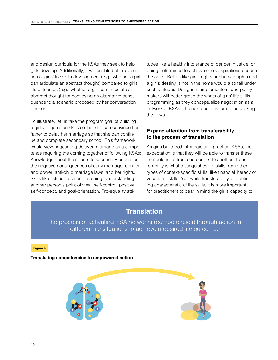and design curricula for the KSAs they seek to help girls develop. Additionally, it will enable better evaluation of girls' life skills development (e.g., whether a girl can articulate an abstract thought) compared to girls' life outcomes (e.g., whether a girl can articulate an abstract thought for conveying an alternative consequence to a scenario proposed by her conversation partner).

To illustrate, let us take the program goal of building a girl's negotiation skills so that she can convince her father to delay her marriage so that she can continue and complete secondary school. This framework would view negotiating delayed marriage as a competence requiring the coming together of following KSAs: Knowledge about the returns to secondary education, the negative consequences of early marriage, gender and power, anti-child marriage laws, and her rights. Skills like risk assessment, listening, understanding another person's point of view, self-control, positive self-concept, and goal-orientation. Pro-equality attitudes like a healthy intolerance of gender injustice, or being determined to achieve one's aspirations despite the odds. Beliefs like girls' rights are human rights and a girl's destiny is not in the home would also fall under such attitudes. Designers, implementers, and policymakers will better grasp the whats of girls' life skills programming as they conceptualize negotiation as a network of KSAs. The next sections turn to unpacking the hows.

#### **Expand attention from transferability to the process of translation**

As girls build both strategic and practical KSAs, the expectation is that they will be able to transfer these competencies from one context to another. Transferability is what distinguishes life skills from other types of context-specific skills, like financial literacy or vocational skills. Yet, while transferability is a defining characteristic of life skills, it is more important for practitioners to bear in mind the girl's capacity to

## **Translation**

The process of activating KSA networks (competencies) through action in different life situations to achieve a desired life outcome.

**Figure 4**

**Translating competencies to empowered action**



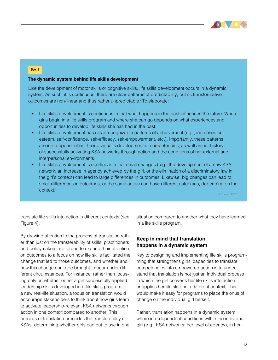

#### **Box 1**

#### **The dynamic system behind life skills development**

Like the development of motor skills or cognitive skills, life skills development occurs in a dynamic system. As such, it is continuous; there are clear patterns of predictability, but its transformative outcomes are non-linear and thus rather unpredictable.<sup>†</sup> To elaborate:

- Life skills development is continuous in that what happens in the past influences the future. Where girls begin in a life skills program and where she can go depends on what experiences and opportunities to develop life skills she has had in the past.
- Life skills development has clear recognizable patterns of achievement (e.g., increased selfesteem, self-confidence, self-efficacy, self-empowerment, etc.). Importantly, these patterns are interdependent on the individual's development of competencies, as well as her history of successfully activating KSA networks through action and the conditions of her external and interpersonal environments.
- Life skills development is non-linear in that small changes (e.g., the development of a new KSA network, an increase in agency achieved by the girl, or the elimination of a discriminatory law in the girl's context) can lead to large differences in outcomes. Likewise, big changes can lead to small differences in outcomes, or the same action can have different outcomes, depending on the context.

i Thelen, 2005.

translate life skills into action in different contexts (see Figure 4).

By drawing attention to the process of translation rather than just on the transferability of skills, practitioners and policymakers are forced to expand their attention on outcomes to a focus on how life skills facilitated the change that led to those outcomes, and whether and how this change could be brought to bear under different circumstances. For instance, rather than focusing only on whether or not a girl successfully applied leadership skills developed in a life skills program to a new real-life situation, a focus on translation would encourage stakeholders to think about how girls learn to activate leadership-relevant KSA networks through action in one context compared to another. This process of translation precedes the transferability of KSAs, determining whether girls can put to use in one

situation compared to another what they have learned in a life skills program.

#### **Keep in mind that translation happens in a dynamic system**

Key to designing and implementing life skills programming that strengthens girls' capacities to translate competencies into empowered action is to understand that translation is not just an individual process in which the girl converts her life skills into action or applies her life skills in a different context. This would make it easy for programs to place the onus of change on the individual girl herself.

Rather, translation happens in a dynamic system where interdependent conditions within the individual girl (e.g., KSA networks; her level of agency), in her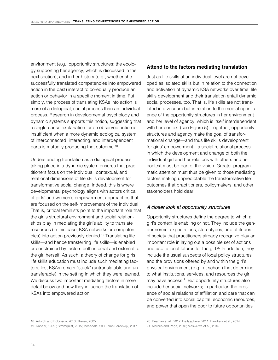environment (e.g., opportunity structures; the ecology supporting her agency, which is discussed in the next section), and in her history (e.g., whether she successfully translated competencies into empowered action in the past) interact to co-equally produce an action or behavior in a specific moment in time. Put simply, the process of translating KSAs into action is more of a dialogical, social process than an individual process. Research in developmental psychology and dynamic systems supports this notion, suggesting that a single-cause explanation for an observed action is insufficient when a more dynamic ecological system of interconnected, interacting, and interdependent parts is mutually producing that outcome.<sup>18</sup>

Understanding translation as a dialogical process taking place in a dynamic system ensures that practitioners focus on the individual, contextual, and relational dimensions of life skills development for transformative social change. Indeed, this is where developmental psychology aligns with actors critical of girls' and women's empowerment approaches that are focused on the self-improvement of the individual. That is, critical feminists point to the important role that the girl's structural environment and social relationships play in mediating the girl's ability to translate resources (in this case, KSA networks or competencies) into action previously denied.19 Translating life skills—and hence transferring life skills—is enabled or constrained by factors both internal and external to the girl herself. As such, a theory of change for girls' life skills education must include such mediating factors, lest KSAs remain "stuck" (untranslatable and untransferable) in the setting in which they were learned. We discuss two important mediating factors in more detail below and how they influence the translation of KSAs into empowered action.

#### **Attend to the factors mediating translation**

Just as life skills at an individual level are not developed as isolated skills but in relation to the connection and activation of dynamic KSA networks over time, life skills development and their translation entail dynamic social processes, too. That is, life skills are not translated in a vacuum but in relation to the mediating influence of the opportunity structures in her environment and her level of agency, which is itself interdependent with her context (see Figure 5). Together, opportunity structures and agency make the goal of transformational change—and thus life skills development for girls' empowerment—a social relational process in which the development and change of both the individual girl and her relations with others and her context must be part of the vision. Greater programmatic attention must thus be given to those mediating factors making unpredictable the transformative life outcomes that practitioners, policymakers, and other stakeholders hold dear.

#### *A closer look at opportunity structures*

Opportunity structures define the degree to which a girl's context is enabling or not. They include the gender norms, expectations, stereotypes, and attitudes of society that practitioners already recognize play an important role in laying out a possible set of actions and aspirational futures for the girl.<sup>20</sup> In addition, they include the usual suspects of local policy structures and the provisions offered by and within the girl's physical environment (e.g., at school) that determine to what institutions, services, and resources the girl may have access.<sup>21</sup> But opportunity structures also include her social networks; in particular, the presence of social relations of affiliation and care that can be converted into social capital, economic resources, and power that open the door to future opportunities

<sup>18</sup> Adolph and Robinson, 2013; Thelen, 2005.

<sup>19</sup> Kabeer, 1999.; Stromquist, 2015; Mosedale, 2005. Van Eerdewijk, 2017.

<sup>20</sup> Beaman et al., 2012; DeJaeghere, 2011; Bandiera et al., 2014.

<sup>21</sup> Marcus and Page, 2016; Maswikwa et al., 2015.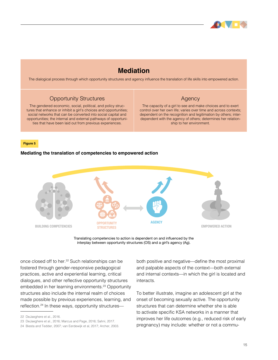

# **Mediation**

The dialogical process through which opportunity structures and agency influence the translation of life skills into empowered action.

#### Opportunity Structures

The gendered economic, social, political, and policy structures that enhance or inhibit a girl's choices and opportunities; social networks that can be converted into social capital and opportunities; the internal and external pathways of opportunities that have been laid out from previous experiences.

#### Agency

The capacity of a girl to see and make choices and to exert control over her own life; varies over time and across contexts; dependent on the recognition and legitimation by others; interdependent with the agency of others; determines her relationship to her environment.

**Figure 5**

#### **Mediating the translation of competencies to empowered action**



Translating competencies to action is dependent on and influenced by the interplay between opportunity structures (OS) and a girl's agency (Ag).

once closed off to her.<sup>22</sup> Such relationships can be fostered through gender-responsive pedagogical practices, active and experiential learning, critical dialogues, and other reflective opportunity structures embedded in her learning environments.<sup>23</sup> Opportunity structures also include the internal realm of choices made possible by previous experiences, learning, and reflection.24 In these ways, opportunity structuresboth positive and negative—define the most proximal and palpable aspects of the context—both external and internal contexts—in which the girl is located and interacts.

To better illustrate, imagine an adolescent girl at the onset of becoming sexually active. The opportunity structures that can determine whether she is able to activate specific KSA networks in a manner that improves her life outcomes (e.g., reduced risk of early pregnancy) may include: whether or not a commu-

<sup>22</sup> DeJaeghere et al., 2016.

<sup>23</sup> DeJaeghere et al., 2016; Marcus and Page, 2016; Sahni, 2017.

<sup>24</sup> Biesta and Tedder, 2007; van Eerdewijk et al, 2017; Archer, 2003.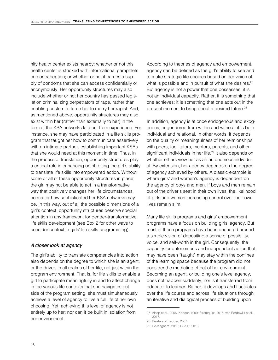nity health center exists nearby; whether or not this health center is stocked with informational pamphlets on contraception; or whether or not it carries a supply of condoms that she can access confidentially or anonymously. Her opportunity structures may also include whether or not her country has passed legislation criminalizing perpetrators of rape, rather than enabling custom to force her to marry her rapist. And, as mentioned above, opportunity structures may also exist within her (rather than externally to her) in the form of the KSA networks laid out from experience. For instance, she may have participated in a life skills program that taught her how to communicate assertively with an intimate partner, establishing important KSAs that she would need at this moment in time. Thus, in the process of translation, opportunity structures play a critical role in enhancing or inhibiting the girl's ability to translate life skills into empowered action. Without some or all of these opportunity structures in place, the girl may not be able to act in a transformative way that positively changes her life circumstances, no matter how sophisticated her KSA networks may be. In this way, out of all the possible dimensions of a girl's context, opportunity structures deserve special attention in any framework for gender-transformative life skills development (see Box 2 for other ways to consider context in girls' life skills programming).

#### *A closer look at agency*

The girl's ability to translate competencies into action also depends on the degree to which she is an agent, or the driver, in all realms of her life, not just within the program environment. That is, for life skills to enable a girl to participate meaningfully in and to affect change in the various life contexts that she navigates outside of the program setting, she must simultaneously achieve a level of agency to live a full life of her own choosing. Yet, achieving this level of agency is not entirely up to her; nor can it be built in isolation from her environment.

According to theories of agency and empowerment, agency can be defined as the girl's ability to see and to make strategic life choices based on her vision of what is possible and in pursuit of what she desires.<sup>27</sup> But agency is not a power that one possesses; it is not an individual capacity. Rather, it is something that one achieves; it is something that one acts out in the present moment to bring about a desired future.<sup>28</sup>

In addition, agency is at once endogenous and exogenous, engendered from within and without; it is both individual and relational. In other words, it depends on the quality or meaningfulness of her relationships with peers, facilitators, mentors, parents, and other significant individuals in her life.<sup>29</sup> It also depends on whether others view her as an autonomous individual. By extension, her agency depends on the degree of agency achieved by others. A classic example is where girls' and women's agency is dependent on the agency of boys and men. If boys and men remain out of the driver's seat in their own lives, the likelihood of girls and women increasing control over their own lives remain slim.

Many life skills programs and girls' empowerment programs have a focus on building girls' agency. But most of these programs have been anchored around a simple vision of depositing a sense of possibility, voice, and self-worth in the girl. Consequently, the capacity for autonomous and independent action that may have been "taught" may stay within the confines of the learning space because the program did not consider the mediating effect of her environment. Becoming an agent, or building one's level agency, does not happen suddenly, nor is it transferred from educator to learner. Rather, it develops and fluctuates over the life course and across life situations through an iterative and dialogical process of building upon

<sup>27</sup> Alsop et al., 2006; Kabeer, 1999; Stromquist, 2015; van Eerdewijk et al., 2017.

<sup>28</sup> Biesta and Tedder, 2007.

<sup>29</sup> DeJaeghere, 2016; USAID, 2016.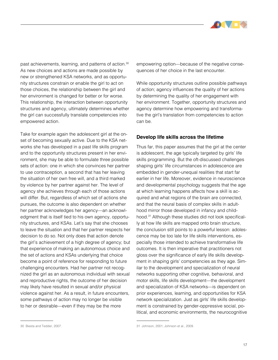

past achievements, learning, and patterns of action.<sup>30</sup> As new choices and actions are made possible by new or strengthened KSA networks, and as opportunity structures constrain or enable the girl to act on those choices, the relationship between the girl and her environment is changed for better or for worse. This relationship, the interaction between opportunity structures and agency, ultimately determines whether the girl can successfully translate competencies into empowered action.

Take for example again the adolescent girl at the onset of becoming sexually active. Due to the KSA networks she has developed in a past life skills program and to the opportunity structures present in her environment, she may be able to formulate three possible sets of action: one in which she convinces her partner to use contraception, a second that has her leaving the situation of her own free will, and a third marked by violence by her partner against her. The level of agency she achieves through each of those actions will differ. But, regardless of which set of actions she pursues, the outcome is also dependent on whether her partner acknowledges her agency—an acknowledgment that is itself tied to his own agency, opportunity structures, and KSAs. Let's say that she chooses to leave the situation and that her partner respects her decision to do so. Not only does that action denote the girl's achievement of a high degree of agency; but that experience of making an autonomous choice and the set of actions and KSAs underlying that choice become a point of reference for responding to future challenging encounters. Had her partner not recognized the girl as an autonomous individual with sexual and reproductive rights, the outcome of her decision may likely have resulted in sexual and/or physical violence against her. As a result, in future encounters, some pathways of action may no longer be visible to her or desirable—even if they may be the more

empowering option—because of the negative consequences of her choice in the last encounter.

While opportunity structures outline possible pathways of action; agency influences the quality of her actions by determining the quality of her engagement with her environment. Together, opportunity structures and agency determine how empowering and transformative the girl's translation from competencies to action can be.

#### **Develop life skills across the lifetime**

Thus far, this paper assumes that the girl at the center is adolescent, the age typically targeted by girls' life skills programming. But the oft-discussed challenges shaping girls' life circumstances in adolescence are embedded in gender-unequal realities that start far earlier in her life. Moreover, evidence in neuroscience and developmental psychology suggests that the age at which learning happens affects how a skill is acquired and what regions of the brain are connected, and that the neural basis of complex skills in adulthood mirror those developed in infancy and childhood.31 Although these studies did not look specifically at how life skills are mapped onto brain structure, the conclusion still points to a powerful lesson: adolescence may be too late for life skills interventions, especially those intended to achieve transformative life outcomes. It is then imperative that practitioners not gloss over the significance of early life skills development in shaping girls' competencies as they age. Similar to the development and specialization of neural networks supporting other cognitive, behavioral, and motor skills, life skills development—the development and specialization of KSA networks—is dependent on prior experiences, learning, and opportunities for KSA network specialization. Just as girls' life skills development is constrained by gender-oppressive social, political, and economic environments, the neurocognitive

<sup>30</sup> Biesta and Tedder, 2007.

<sup>31</sup> Johnson, 2001; Johnson et al., 2009.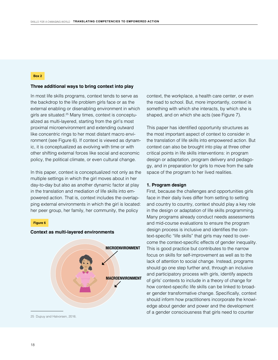#### **Box 2**

#### **Three additional ways to bring context into play**

In most life skills programs, context tends to serve as the backdrop to the life problem girls face or as the external enabling or disenabling environment in which girls are situated.<sup>25</sup> Many times, context is conceptualized as multi-layered, starting from the girl's most proximal microenvironment and extending outward like concentric rings to her most distant macro environment (see Figure 6). If context is viewed as dynamic, it is conceptualized as evolving with time or with other shifting external forces like social and economic policy, the political climate, or even cultural change.

In this paper, context is conceptualized not only as the multiple settings in which the girl moves about in her day-to-day but also as another dynamic factor at play in the translation and mediation of life skills into empowered action. That is, context includes the overlapping external environments in which the girl is located: her peer group, her family, her community, the policy

#### **Figure 6**



#### **Context as multi-layered environments**

25 Dupuy and Halvorsen, 2016.

context, the workplace, a health care center, or even the road to school. But, more importantly, context is something with which she interacts, by which she is shaped, and on which she acts (see Figure 7).

This paper has identified opportunity structures as the most important aspect of context to consider in the translation of life skills into empowered action. But context can also be brought into play at three other critical points in life skills interventions: in program design or adaptation, program delivery and pedagogy, and in preparation for girls to move from the safe space of the program to her lived realities.

#### **1. Program design**

First, because the challenges and opportunities girls face in their daily lives differ from setting to setting and country to country, context should play a key role in the design or adaptation of life skills programming. Many programs already conduct needs assessments and mid-course evaluations to ensure the program design process is inclusive and identifies the context-specific "life skills" that girls may need to overcome the context-specific effects of gender inequality. This is good practice but contributes to the narrow focus on skills for self-improvement as well as to the lack of attention to social change. Instead, programs should go one step further and, through an inclusive and participatory process with girls, identify aspects of girls' contexts to include in a theory of change for how context-specific life skills can be linked to broader gender transformative change. Specifically, context should inform how practitioners incorporate the knowledge about gender and power and the development of a gender consciousness that girls need to counter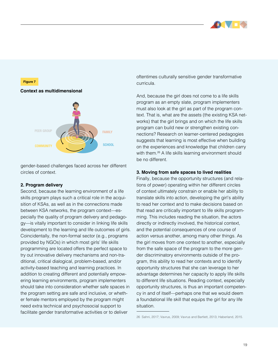



gender-based challenges faced across her different circles of context.

#### **2. Program delivery**

Second, because the learning environment of a life skills program plays such a critical role in the acquisition of KSAs, as well as in the connections made between KSA networks, the program context—especially the quality of program delivery and pedagogy—is vitally important to consider in linking life skills development to the learning and life outcomes of girls. Coincidentally, the non-formal sector (e.g., programs provided by NGOs) in which most girls' life skills programming are located offers the perfect space to try out innovative delivery mechanisms and non-traditional, critical dialogical, problem-based, and/or activity-based teaching and learning practices. In addition to creating different and potentially empowering learning environments, program implementers should take into consideration whether safe spaces in the program setting are safe and inclusive, or whether female mentors employed by the program might need extra technical and psychosocial support to facilitate gender transformative activities or to deliver

oftentimes culturally sensitive gender transformative curricula.

And, because the girl does not come to a life skills program as an empty slate, program implementers must also look at the girl as part of the program context. That is, what are the assets (the existing KSA networks) that the girl brings and on which the life skills program can build new or strengthen existing connections? Research on learner-centered pedagogies suggests that learning is most effective when building on the experiences and knowledge that children carry with them.<sup>26</sup> A life skills learning environment should be no different.

#### **3. Moving from safe spaces to lived realities**

Finally, because the opportunity structures (and relations of power) operating within her different circles of context ultimately constrain or enable her ability to translate skills into action, developing the girl's ability to read her context and to make decisions based on that read are critically important to life skills programming. This includes reading the situation, the actors directly or indirectly involved, the historical context, and the potential consequences of one course of action versus another, among many other things. As the girl moves from one context to another, especially from the safe space of the program to the more gender discriminatory environments outside of the program, this ability to read her contexts and to identify opportunity structures that she can leverage to her advantage determines her capacity to apply life skills to different life situations. Reading context, especially opportunity structures, is thus an important competency in and of itself—perhaps one that we would deem a foundational life skill that equips the girl for any life situation.

<sup>26</sup> Sahni, 2017; Vavrus, 2009; Vavrus and Bartlett, 2013; Haberland, 2015.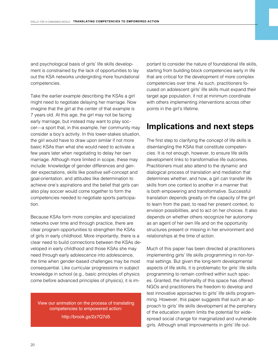<span id="page-19-0"></span>and psychological basis of girls' life skills development is constrained by the lack of opportunities to lay out the KSA networks undergirding more foundational competencies.

Take the earlier example describing the KSAs a girl might need to negotiate delaying her marriage. Now imagine that the girl at the center of that example is 7 years old. At this age, the girl may not be facing early marriage, but instead may want to play soccer—a sport that, in this example, her community may consider a boy's activity. In this lower-stakes situation, the girl would have to draw upon similar if not more basic KSAs than what she would need to activate a few years later when negotiating to delay her own marriage. Although more limited in scope, these may include: knowledge of gender differences and gender expectations, skills like positive self-concept and goal-orientation, and attitudes like determination to achieve one's aspirations and the belief that girls can also play soccer would come together to form the competencies needed to negotiate sports participation.

Because KSAs form more complex and specialized networks over time and through practice, there are clear program opportunities to strengthen the KSAs of girls in early childhood. More importantly, there is a clear need to build connections between the KSAs developed in early childhood and those KSAs she may need through early adolescence into adolescence, the time when gender-based challenges may be most consequential. Like curricular progressions in subject knowledge in school (e.g., basic principles of physics come before advanced principles of physics), it is im-

View our animation on the process of translating competencies to empowered action:

<http://brook.gs/2z7Q7d5>

portant to consider the nature of foundational life skills, starting from building block competencies early in life that are critical for the development of more complex competencies over time. As such, practitioners focused on adolescent girls' life skills must expand their target age population, if not at minimum coordinate with others implementing interventions across other points in the girl's lifetime.

# **Implications and next steps**

The first step to clarifying the concept of life skills is disentangling the KSAs that constitute competencies. It is not enough, however, to ensure life skills development links to transformative life outcomes. Practitioners must also attend to the dynamic and dialogical process of translation and mediation that determines whether, and how, a girl can transfer life skills from one context to another in a manner that is both empowering and transformative. Successful translation depends greatly on the capacity of the girl to learn from the past, to read her present context, to envision possibilities, and to act on her choices. It also depends on whether others recognize her autonomy as an agent of her own life and on the opportunity structures present or missing in her environment and relationships at the time of action.

Much of this paper has been directed at practitioners implementing girls' life skills programming in non-formal settings. But given the long-term developmental aspects of life skills, it is problematic for girls' life skills programming to remain confined within such spaces. Granted, the informality of this space has offered NGOs and practitioners the freedom to develop and test innovative approaches to girls' life skills programming. However, this paper suggests that such an approach to girls' life skills development at the periphery of the education system limits the potential for widespread social change for marginalized and vulnerable girls. Although small improvements in girls' life out-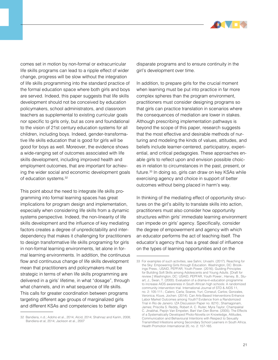

comes set in motion by non-formal or extracurricular life skills programs can lead to a ripple effect of wider change, progress will be slow without the integration of life skills programming into the standard practice of the formal education space where both girls and boys are served. Indeed, this paper suggests that life skills development should not be conceived by education policymakers, school administrators, and classroom teachers as supplemental to existing curricular goals nor specific to girls only, but as core and foundational to the vision of 21st century education systems for all children, including boys. Indeed, gender-transformative life skills education that is good for girls will be good for boys as well. Moreover, the evidence shows a wide-ranging set of outcomes associated with life skills development, including improved health and employment outcomes, that are important for achieving the wider social and economic development goals of education systems.<sup>32</sup>

This point about the need to integrate life skills programming into formal learning spaces has great implications for program design and implementation, especially when considering life skills from a dynamic systems perspective. Indeed, the non-linearity of life skills development and the influence of key mediating factors creates a degree of unpredictability and interdependency that makes it challenging for practitioners to design transformative life skills programing for girls in non-formal learning environments, let alone in formal learning environments. In addition, the continuous flow and continuous change of life skills development mean that practitioners and policymakers must be strategic in terms of when life skills programming are delivered in a girls' lifetime, in what "dosage", through what channels, and in what sequence of life skills. This calls for greater coordination between programs targeting different age groups of marginalized girls and different KSAs and competencies to better align

disparate programs and to ensure continuity in the girl's development over time.

In addition, to prepare girls for the crucial moment when learning must be put into practice in far more complex spheres than the program environment, practitioners must consider designing programs so that girls can practice translation in scenarios where the consequences of mediation are lower in stakes. Although prescribing implementation pathways is beyond the scope of this paper, research suggests that the most effective and desirable methods of nurturing and modeling the kinds of values, attitudes, and beliefs include learner-centered, participatory, experiential, and critical pedagogies. These approaches enable girls to reflect upon and envision possible choices in relation to circumstances in the past, present, or future.<sup>33</sup> In doing so, girls can draw on key KSAs while exercising agency and choice in support of better outcomes without being placed in harm's way.

In thinking of the mediating effect of opportunity structures on the girl's ability to translate skills into action, practitioners must also consider how opportunity structures within girls' immediate learning environment can impede on girls' agency. Specifically, consider the degree of empowerment and agency with which an educator performs the act of teaching itself. The educator's agency thus has a great deal of influence on the types of learning opportunities and on the

<sup>32</sup> Bandiera, n.d.; Adoho et al., 2014; Alcid, 2014; Shahnaz and Karim, 2008; Bandiera et al, 2014; Jackson et al., 2007

<sup>33</sup> For examples of such activities, see Sahni, Urvashi. (2017). Reaching for the Sky: Empowering Girls through Education. Washington, DC: Brookings Press.; USAID, PEPFAR, Youth Power. (2016). Guiding Principles for Building Soft Skills among Adolescents and Young Adults. [Draft for review.] Washington, DC: USAID, PEPFAR, Youth Power.; Harvey, B., Stuart, J., Swan, T. (2000). Evaluation of a drama-in-education programme to increase AIDS awareness in South African high schools: A randomized community intervention trial. International Journal of STD & AIDS 11, no. 2: 105-111.; Calero, Carla; Soares, Yuri; Corseuil, Carlos; Gonzales, Veronica; Kluve, Jochen. (2014). Can Arts-Based Interventions Enhance Labor Market Outcomes among Youth? Evidence from a Randomized Trial in Rio de Janeiro. IZA Discussion Paper no. 8210.; Shamagonam, James; Priscilla S. Reddy, Robert A. C. Ruiter, Myra Taylor, Champaklal C. Jinabhai, Pepijn Van Empelen, Bart Van Den Borne. (2005). The Effects of a Systematically Developed Photo-Novella on Knowledge, Attitudes, Communication and Behavioural Intentions with Respect to Sexually Transmitted Infestions among Secondary School Learners in South Africa. Health Promotion International 20, no. 2: 157-165.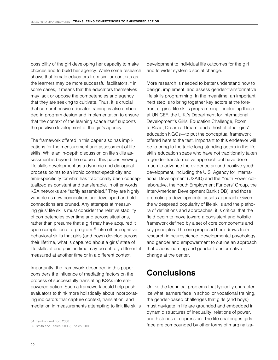<span id="page-21-0"></span>possibility of the girl developing her capacity to make choices and to build her agency. While some research shows that female educators from similar contexts as the learners may be more successful facilitators, $34$  in some cases, it means that the educators themselves may lack or oppose the competencies and agency that they are seeking to cultivate. Thus, it is crucial that comprehensive educator training is also embedded in program design and implementation to ensure that the context of the learning space itself supports the positive development of the girl's agency.

The framework offered in this paper also has implications for the measurement and assessment of life skills. While an in-depth discussion on life skills assessment is beyond the scope of this paper, viewing life skills development as a dynamic and dialogical process points to an ironic context-specificity and time-specificity for what has traditionally been conceptualized as constant and transferable. In other words, KSA networks are "softly assembled." They are highly variable as new connections are developed and old connections are pruned. Any attempts at measuring girls' life skills must consider the relative stability of competencies over time and across situations, rather than presume that a girl may have acquired it upon completion of a program.<sup>35</sup> Like other cognitive behavioral skills that girls (and boys) develop across their lifetime, what is captured about a girls' state of life skills at one point in time may be entirely different if measured at another time or in a different context.

Importantly, the framework described in this paper considers the influence of mediating factors on the process of successfully translating KSAs into empowered action. Such a framework could help push evaluators to think more holistically about incorporating indicators that capture context, translation, and mediation in measurements attempting to link life skills development to individual life outcomes for the girl and to wider systemic social change.

More research is needed to better understand how to design, implement, and assess gender-transformative life skills programming. In the meantime, an important next step is to bring together key actors at the forefront of girls' life skills programming—including those at UNICEF, the U.K.'s Department for International Development's Girls' Education Challenge, Room to Read, Dream a Dream, and a host of other girls' education NGOs—to put the conceptual framework offered here to the test. Important to this endeavor will be to bring to the table long-standing actors in the life skills education space who have not traditionally taken a gender-transformative approach but have done much to advance the evidence around positive youth development, including the U.S. Agency for International Development (USAID) and the Youth Power collaborative, the Youth Employment Funders' Group, the Inter-American Development Bank (IDB), and those promoting a developmental assets approach. Given the widespread popularity of life skills and the plethora of definitions and approaches, it is critical that the field begin to move toward a consistent and holistic framework defined by a set of core components and key principles. The one proposed here draws from research in neuroscience, developmental psychology, and gender and empowerment to outline an approach that places learning and gender-transformative change at the center.

# **Conclusions**

Unlike the technical problems that typically characterize what learners face in school or vocational training, the gender-based challenges that girls (and boys) must navigate in life are grounded and embedded in dynamic structures of inequality, relations of power, and histories of oppression. The life challenges girls face are compounded by other forms of marginaliza-

<sup>34</sup> Tembon and Fort, 2008.

<sup>35</sup> Smith and Thelen, 2003.; Thelen, 2005.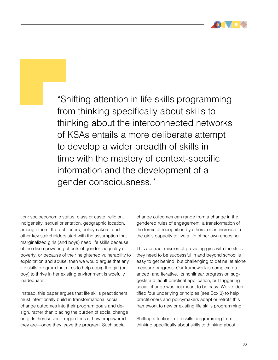

"Shifting attention in life skills programming from thinking specifically about skills to thinking about the interconnected networks of KSAs entails a more deliberate attempt to develop a wider breadth of skills in time with the mastery of context-specific information and the development of a gender consciousness."

tion: socioeconomic status, class or caste, religion, indigeneity, sexual orientation, geographic location, among others. If practitioners, policymakers, and other key stakeholders start with the assumption that marginalized girls (and boys) need life skills because of the disempowering effects of gender inequality or poverty, or because of their heightened vulnerability to exploitation and abuse, then we would argue that any life skills program that aims to help equip the girl (or boy) to thrive in her existing environment is woefully inadequate.

Instead, this paper argues that life skills practitioners must intentionally build in transformational social change outcomes into their program goals and design, rather than placing the burden of social change on girls themselves—regardless of how empowered they are—once they leave the program. Such social

change outcomes can range from a change in the gendered rules of engagement, a transformation of the terms of recognition by others, or an increase in the girl's capacity to live a life of her own choosing.

This abstract mission of providing girls with the skills they need to be successful in and beyond school is easy to get behind, but challenging to define let alone measure progress. Our framework is complex, nuanced, and iterative. Its nonlinear progression suggests a difficult practical application, but triggering social change was not meant to be easy. We've identified four underlying principles (see Box 3) to help practitioners and policymakers adapt or retrofit this framework to new or existing life skills programming.

Shifting attention in life skills programming from thinking specifically about skills to thinking about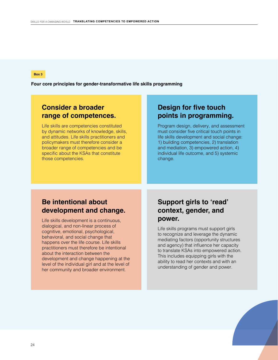#### **Box 3**

**Four core principles for gender-transformative life skills programming**

## **Consider a broader range of competences.**

Life skills are competencies constituted by dynamic networks of knowledge, skills, and attitudes. Life skills practitioners and policymakers must therefore consider a broader range of competencies and be specific about the KSAs that constitute those competencies.

## **Design for five touch points in programming.**

Program design, delivery, and assessment must consider five critical touch points in life skills development and social change: 1) building competencies, 2) translation and mediation, 3) empowered action, 4) individual life outcome, and 5) systemic change.

## **Be intentional about development and change.**

Life skills development is a continuous, dialogical, and non-linear process of cognitive, emotional, psychological, behavioral, and social change that happens over the life course. Life skills practitioners must therefore be intentional about the interaction between the development and change happening at the level of the individual girl and at the level of her community and broader environment.

# **Support girls to 'read' context, gender, and power.**

Life skills programs must support girls to recognize and leverage the dynamic mediating factors (opportunity structures and agency) that influence her capacity to translate KSAs into empowered action. This includes equipping girls with the ability to read her contexts and with an understanding of gender and power.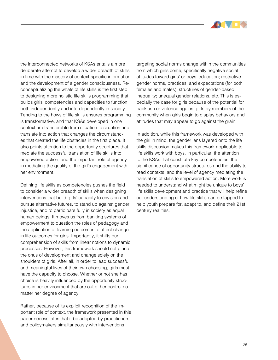

the interconnected networks of KSAs entails a more deliberate attempt to develop a wider breadth of skills in time with the mastery of context-specific information and the development of a gender consciousness. Reconceptualizing the whats of life skills is the first step to designing more holistic life skills programming that builds girls' competencies and capacities to function both independently and interdependently in society. Tending to the hows of life skills ensures programming is transformative, and that KSAs developed in one context are transferable from situation to situation and translate into action that changes the circumstances that created the life obstacles in the first place. It also points attention to the opportunity structures that mediate the successful translation of life skills into empowered action, and the important role of agency in mediating the quality of the girl's engagement with her environment.

Defining life skills as competencies pushes the field to consider a wider breadth of skills when designing interventions that build girls' capacity to envision and pursue alternative futures, to stand up against gender injustice, and to participate fully in society as equal human beings. It moves us from banking systems of empowerment to question the roles of pedagogy and the application of learning outcomes to affect change in life outcomes for girls. Importantly, it shifts our comprehension of skills from linear notions to dynamic processes. However, this framework should not place the onus of development and change solely on the shoulders of girls. After all, in order to lead successful and meaningful lives of their own choosing, girls must have the capacity to choose. Whether or not she has choice is heavily influenced by the opportunity structures in her environment that are out of her control no matter her degree of agency.

Rather, because of its explicit recognition of the important role of context, the framework presented in this paper necessitates that it be adopted by practitioners and policymakers simultaneously with interventions

targeting social norms change within the communities from which girls come; specifically negative social attitudes toward girls' or boys' education; restrictive gender norms, practices, and expectations (for both females and males); structures of gender-based inequality; unequal gender relations, etc. This is especially the case for girls because of the potential for backlash or violence against girls by members of the community when girls begin to display behaviors and attitudes that may appear to go against the grain.

In addition, while this framework was developed with the girl in mind, the gender lens layered onto the life skills discussion makes this framework applicable to life skills work with boys. In particular, the attention to the KSAs that constitute key competencies; the significance of opportunity structures and the ability to read contexts; and the level of agency mediating the translation of skills to empowered action. More work is needed to understand what might be unique to boys' life skills development and practice that will help refine our understanding of how life skills can be tapped to help youth prepare for, adapt to, and define their 21st century realities.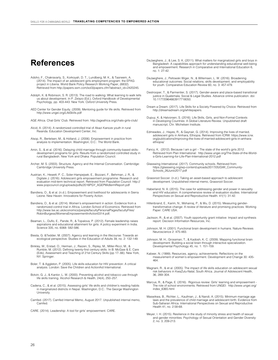# <span id="page-25-0"></span>**References**

- Adoho, F., Chakravarty, S., Korkoyah, D. T., Lundberg, M. K., & Tasneem, A. (2014). The impact of an adolescent girls employment program: the EPAG project in Liberia. World Bank Policy Research Working Paper, (6832). Retrieved from http://papers.ssrn.com/sol3/papers.cfm?abstract\_id=2420245.
- Adolph, K. & Robinson, S. R. (2013). The road to walking: What learning to walk tells us about development. In P. Zelazo (Ed.), Oxford Handbook of Developmental Psychology, pp. 403-443. New York: Oxford University Press.
- AED Center for Gender Equity. (2009). Mentoring guide for life skills. Retrieved from http://www.ungei.org/LifeSkills.pdf
- AGE Africa. Chat Girls' Club. Retrieved from: http://ageafrica.org/chats-girls-club/
- Alcid, A. (2014). A randomized controlled trial of Akazi Kanoze youth in rural Rwanda. Education Development Center, Inc.
- Alsop, R., Bertelsen, M., & Holland, J. (2006). Empowerment in practice from analysis to implementation. Washington, D.C.: The World Bank.
- Amin, S., & et al. (2016). Delaying child marriage through community-based skillsdevelopment programs for girls: Results from a randomized controlled study in rural Bangladesh. New York and Dhaka: Population Council.
- Archer, M. S. (2003). Structure, Agency and the Internal Conversation. Cambridge: Cambridge University Press.
- Austrian, K., Hewett, P. C., Soler-Hampejsek, E., Bozzani, F., Behrman, J. R,. & Digitale J. (2016). Adolescent girls empowerment programme: Research and evaluation mid-term technical report. Retrieved from Population Council: http:// www.popcouncil.org/uploads/pdfs/2016PGY\_AGEPMidtermReport.pdf
- Bandiera, O., & et al. (n.d.). Empowerment and livelihood for adolescents in Sierra Leone. New Haven: Innovations for Poverty Action.
- Bandiera, O., & et al. (2014). Women's empowerment in action: Evidence from a randomized control trial in Africa. London School of Economics. Retrieved from http://www.lse.ac.uk/economics/people/facultyPersonalPages/facultyFiles/ RobinBurgess/WomensEmpowermentInAction0314.pdf;
- Beaman, L., Duflo, E., Pande, R., & Topalova, P. (2012). Female leadership raises aspirations and educational attainment for girls: A policy experiment in India. Science 335, no. 6068: 582-586.
- Biesta, G. &Tedder, M. (2007). Agency and learning in the lifecourse: Towards an ecological perspective. Studies in the Education of Adults 39, no. 2: 132-149.
- Binkley, M., Erstad, O., Herman, J., Raizen, S., Ripley, M., Miller-Ricci, M., & Rumble, M. (2012). Defining twenty-first century skills. In B. McGaw & E. Care (Eds), Assessment and Teaching of 21st Century Skills (pp 17-.66). New York, NY: Springer.
- Boler, T. & Aggleton, P. (2005). Life skills education for HIV prevention: A critical analysis. London: Save the Children and ActionAid International.
- Botvin, G. J., & Kantor, L. W. (2000). Preventing alcohol and tobacco use through life skills training. Alcohol Research & Health, 24(4), 250–257.
- Cadena, C., & et al. (2015). Assessing girls' life skills and children's reading habits in marginalized districts in Nepal. Washington, D.C.: The George Washington University.
- Camfed. (2017). Camfed Internal Memo, August 2017. Unpublished internal memo, Camfed.
- CARE. (2014). Leadership: A tool for girls' empowerment. CARE.
- DeJaeghere, J., & Lee, S. K. (2011). What matters for marginalized girls and boys in Bangladesh: A capabilities approach for understanding educational well-being and empowerment. Research in Comparative and International Education 6, no. 1: 27-42.
- DeJaeghere, J., Pellowski Wiger, N., & Willemsen, L. W. (2016). Broadening educational outcomes: Social relations, skills development, and employability for youth. Comparative Education Review 60, no. 3: 457-479.
- Destrooper, T., & Parmentier, S. (2017). Gender-aware and place-based transitional justice in Guatemala. Social & Legal Studies. Advance online publication. doi: 10.1177/0964663917718050.
- Dream a Dream. (2017). Life Skills for a Society Powered by Choice. Retrieved from http://dreamadream.org/whitepapers.
- Dupuy, K. & Halvorsen, S. (2016). Life Skills, Girls, and Non-Formal Contexts in Developing Countries: A Global Literature Review. Unpublished draft manuscript, Chr. Michelsen Institute.
- Edmeades, J., Hayes, R., & Gaynair, G. (2014). Improving the lives of married, adolescent girls in Amhara, Ethiopia. Retrieved from ICRW: https://www.icrw. org/publications/improving-the-lives-of-married-adolescent-girls-in-amharaethiopia/
- Fancy, K. (2012). Because I am a girl The state of the world's girls 2012. Retrieved from Plan International: http://www.ungei.org/The-State-of-the-World-s-Girls-Learning-for-Life-Plan-International-2012.pdf
- Glasswing International. (2017). Community schools. Retrieved from: https://glasswing.org/wp-content/uploads/2017/05/GWI\_Community-Schools\_26Junio2017.pdf
- Grassroot Soccer. (n.d.). Taking an asset-based approach to adolescent development. Unpublished internal memo, Grassroot Soccer.
- Haberland, N. A. (2015). The case for addressing gender and power in sexuality and HIV education: A comprehensive review of evaluation studies. International Perspectives on Sexual and Reproductive Health. 41(1): 31-42.
- Hillenbrand, E., Karim, N., Mohanraj, P., & Wu, D. (2015). Measuring gendertransformative change: A review of literature and promising practices. Working Paper. CARE USA.
- Jackson, R., & et al. (2007). Youth opportunity grant initiative: Impact and synthesis report. Decision Information Resources, Inc.
- Johnson, M. H. (2001). Functional brain development in humans. Nature Reviews Neuroscience 2: 475-483.
- Johnson, M. H.; Grossman, T., & Kadosh, K. C. (2009). Mapping functional brain development: Building a social brain through interactive specialization. Developmental Psychology 45, no. 1: 151-159.
- Kabeer, N. (1999). Resources, agency, achievements: Reflections on the measurement of women's empowerment. Development and Change 30: 435-464.
- Magnani, R., & et al. (2005). The impact of life skills education on adolescent sexual risk behaviors in KwaZulu-Natal, South Africa. Journal of Adolescent Health, 36, 289–304.
- Marcus, R., & Page, E. (2016). Rigorous review: Girls' learning and empowerment The role of school environments. Retrieved from UNGEI: http://www.ungei.org/ index\_6365.html
- Maswikwa, B., Richter, L., Kaufman, J., & Nandi, A. (2015). Minimum marriage age laws and the prevalence of child marriage and adolescent birth: Evidence from Sub-Saharan Africa. International Perspectives on Sexual and Reproductive Health 41, no. 2:58-68.
- Meyer, I. H. (2015). Resilience in the study of minority stress and health of sexual and gender minorities. Psychology of Sexual Orientation and Gender Diversity: 2, no. 3, 209-213.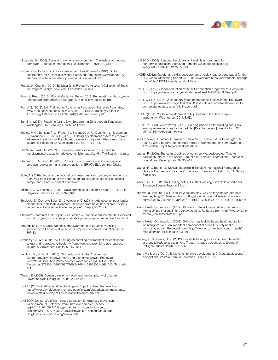

Mosedale, S. (2005). Assessing women's empowerment: Towards a conceptual framework. Journal of International Development, 17(2): 243-257.

Organization for Economic Co-operation and Development. (2016). Global competency for an inclusive world. Retrieved from: https://www.oecd.org/ education/Global-competency-for-an-inclusive-world.pdf

- Population Council. (2016). Building Girls' Protective Assets: A Collection of Tools for Program Design. New York: Population Council.
- Room to Read. (2015). Global Monitoring Report 2015. Retrieved from: https://www. roomtoread.org/media/634255/gmr-2015-final\_low-resolution.pdf
- Roy, J. S. (2013). Skill Training for Advancing Resources. Retrieved from http:// www.brac.net/sites/default/files/5.%20PPT\_Skill%20Training%20for%20 Advancing%20Resources%20(STAR)%20compressed.pdf.
- Sahni, U. (2017). Reaching for the Sky: Empowering Girls through Education. Washington, DC: Brookings Institution Press.
- Scales, P. C., Benson, P. L., Fraher, K., Syvertsen, A. K., Dershem, L., Makonnen, R., Nazneen, S., & Titus, S. (2013). Building development assets to empower adolescent girls in rural Bangladesh: evaluation of project Kishoree Kontha. Journal of Research on Adolescence 23, no. 1: 171-184.
- The Search Institute. (2007). Discovering what kids need to succeed. 40 developmental assets for adolescents. Minneapolis, MN: The Search Institute.
- Shahnaz, R., & Karim, R. (2008). Providing microfinance and social space to empower adolescent girls: An evaluation of BRAC's ELA centres. Dhaka: BRAC.
- Sidle, A. (2016). Social and emotional competencies are important as academics. Retrieved from Teach for All: http://teachforall.org/en/social-and-emotionalcompetencies-are-important-academics
- Smith, L. B., & Thelen, E. (2003). Development as a dynamic system. TRENDS in Cognitive Sciences 7, no. 8: 343-348.
- Smolovic, S., Domovic Bulut, S., & Vujosevic, D. (2011). Adolescents' peer leader manual for life skills development. Retrieved from Save the Children: https:// resourcecentre.savethechildren.net/node/5182/pdf/5182.pdf
- Standard Chartered. 2017. Sport + education = Economic empowerment. Retrieved from https://www.sc.com/en/sustainability/investing-in-communities/goal.html
- Stromquist, N. P. (2015). Women's empowerment and education: Linking knowledge to transformative action. European Journal of Education 50, no. 3: 307-324.
- Svanemyr, J., & et al. (2015). Creating an enabling environment for adolescent sexual and reproductive health: A framework and promising approaches. Journal of Adolescent Health, 56, S7–S14.
- Tembon, M., & Fort, L. (2008). Girls' education in the 21st century: Gender equality, empowerment, and economic growth. Retrieved from World Bank: http://siteresources.worldbank.org/EDUCATION/ Resources/278200-1099079877269/547664-1099080014368/DID\_Girls\_edu. pdf
- Thelen, E. (2005). Dynamic systems theory and the complexity of change. Psychoanalytic Dialogues 15, no. 2: 255-283.
- UKAID. (2015). Girls' education challenge Project profiles. Retrieved from: https://www.gov.uk/government/uploads/system/uploads/attachment\_data/ file/415489/GEC-Project-Profile-booklet-March2015.pdf
- UNESCO (2001). Life Skills based education for drug use prevention training manual. Retrieved from: http://webarchive.unesco. org/20161120150914/http://portal.unesco.org/education/en/ files/39462/1115.1214053DrugUsePreventionTrainingManual.pdf/ DrugUsePreventionTrainingManual.pdf
- UNESCO. (2012). Regional handbook on life skills programmed for non-formal education. Retrieved from http://unesdoc.unesco.org/ images/0021/002175/217507e.pdf
- UNGEI. (2012). Gender and skills development: A review background paper for the EFA Global Monitoring Report 2012. Retrieved from https://www.macfound.org/ media/files/UNGEI\_Gender\_and\_Skills.pdf
- UNICEF. (2012). Global evaluation of life skills education programmes. Retrieved from: https://www.unicef.org/evaldatabase/files/UNICEF\_GLS\_Web.pdf
- USAID & IREX. (2014). 21st century youth competencies assessment. Retrieved from: https://www.irex.org/sites/default/files/node/resource/west-bank-youthcompetencies-assessment-full-report.pdf
- USAID. (2012). Youth in development policy: Realizing the demographic opportunity. Washington, DC: USAID.
- USAID, PEPFAR, Youth Power. (2016). Guiding principles for building soft skills among adolescents and young adults. [Draft for review.] Washington, DC: USAID, PEPFAR, Youth Power.
- van Eerdewijk, A., Wong, F., Vaast, C., Newton, J., Tyszler, M., & Pennington, A. (2017). White paper: A conceptual model of women and girls' empowerment. Amsterdam: Royal Tropical Institute (KIT).
- Vavrus, F. (2009). The cultural politics of constructivist pedagogies: Teacher education reform in the United Republic of Tanzania. International Journal of Educational Development 29: 303–11.
- Vavrus, F., & Bartlett, L. (2013). Teaching in Tension: International Pedagogies, National Policies, and Teachers' Practices in Tanzania. Pittsburgh, PA: Sense Publishers.
- Whitehurst, G. J. (2016). Grading soft skills: The Brookings soft skills report card. Evidence Speaks Reports 2 (no. 4).
- The World Bank. (2013). Life skills: What are they, why do they matter, and how are they taught? Retrieved from: http://documents.worldbank.org/curated/ en/569931468331784110/pdf/816730BRI0AGI00Box0379842B00PUBLIC0.pdf
- World Health Organization. (2012). Partners in life skills education: Conclusions from a United Nations inter-agency meeting. Retrieved from http://www.who.int/ mental\_health/media/en/30.pdf
- World Health Organization. (2003). Skills for health skills-based health education including life skills: An important component of a child-friendly/health-promoting school. Retrieved from: http://www.who.int/school\_youth\_health/ media/en/sch\_skills4health\_03.pdf
- Yankey, T., & Biswas, U. N. (2012). Life skills training as an effective intervention strategy to reduce stress among Tibetan refugee adolescents. Journal of Refugee Studies, 25(4), 514–536.
- Yuen, M., & et al. (2010). Enhancing life skills development: Chinese adolescents' perceptions. Pastoral Care in Education, 28(4), 295–310.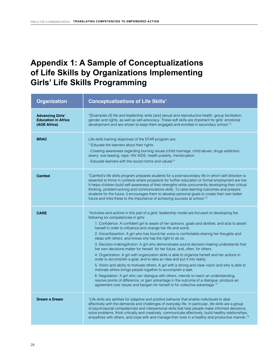# <span id="page-27-0"></span>**Appendix 1: A Sample of Conceptualizations of Life Skills by Organizations Implementing Girls' Life Skills Programming**

| <b>Organization</b>                                                   | <b>Conceptualizations of Life Skills1</b>                                                                                                                                                                                                                                                                                                                                                                                                                                                                                                                                                                                                                                                                                                                                                                                                                                                                                                                                                                                                                                                                                                                                                                                                                                                    |
|-----------------------------------------------------------------------|----------------------------------------------------------------------------------------------------------------------------------------------------------------------------------------------------------------------------------------------------------------------------------------------------------------------------------------------------------------------------------------------------------------------------------------------------------------------------------------------------------------------------------------------------------------------------------------------------------------------------------------------------------------------------------------------------------------------------------------------------------------------------------------------------------------------------------------------------------------------------------------------------------------------------------------------------------------------------------------------------------------------------------------------------------------------------------------------------------------------------------------------------------------------------------------------------------------------------------------------------------------------------------------------|
| <b>Advancing Girls'</b><br><b>Education in Africa</b><br>(AGE Africa) | "[Examples of] life and leadership skills [are] sexual and reproductive health, group facilitation,<br>gender and rights, as well as self-advocacy. These soft skills are important for girls' emotional<br>development and are shown to keep them engaged and enrolled in secondary school." <sup>2</sup>                                                                                                                                                                                                                                                                                                                                                                                                                                                                                                                                                                                                                                                                                                                                                                                                                                                                                                                                                                                   |
| <b>BRAC</b>                                                           | Life skills training objectives of the STAR program are:<br>"-Educate the learners about their rights<br>-Creating awareness regarding burning issues (child marriage, child abuse, drugs addiction,<br>dowry, eve teasing, rape, HIV AIDS, health puberty, menstruation<br>-Educate learners with the social norms and values" <sup>3</sup>                                                                                                                                                                                                                                                                                                                                                                                                                                                                                                                                                                                                                                                                                                                                                                                                                                                                                                                                                 |
| <b>Camfed</b>                                                         | "Camfed's life skills program prepares students for a post-secondary life in which self-direction is<br>essential to thrive in contexts where prospects for further education or formal employment are low.<br>It helps children build self-awareness of their strengths while concurrently developing their critical<br>thinking, problem-solving and communications skills. To raise learning outcomes and prepare<br>students for the future, it encourages them to develop personal goals to create their own better<br>future and links these to the importance of achieving success at school."4                                                                                                                                                                                                                                                                                                                                                                                                                                                                                                                                                                                                                                                                                       |
| <b>CARE</b>                                                           | "Activities and actions in this part of a girls' leadership model are focused on developing the<br>following six competencies in girls:<br>1. Confidence: A confident girl is aware of her opinions, goals and abilities, and acts to assert<br>herself in order to influence and change her life and world.<br>2. Voice/Assertion: A girl who has found her voice is comfortable sharing her thoughts and<br>ideas with others, and knows she has the right to do so.<br>3. Decision-making/Action: A girl who demonstrates sound decision-making understands that<br>her own decisions matter for herself, for her future, and, often, for others.<br>4. Organization: A girl with organization skills is able to organize herself and her actions in<br>order to accomplish a goal, and to take an idea and put it into reality.<br>5. Vision and ability to motivate others: A girl with a strong and clear vision and who is able to<br>motivate others brings people together to accomplish a task.<br>6. Negotiation: A girl who can dialogue with others, intends to reach an understanding,<br>resolve points of difference, or gain advantage in the outcome of a dialogue, produce an<br>agreement over issues and bargain for herself or for collective advantage." <sup>5</sup> |
| <b>Dream a Dream</b>                                                  | "Life skills are abilities for adaptive and positive behavior that enable individuals to deal<br>effectively with the demands and challenges of everyday life. In particular, life skills are a group<br>of psychosocial competencies and interpersonal skills that help people make informed decisions,<br>solve problems, think critically and creatively, communicate effectively, build healthy relationships,<br>empathize with others, and cope with and manage their lives in a healthy and productive manner." <sup>6</sup>                                                                                                                                                                                                                                                                                                                                                                                                                                                                                                                                                                                                                                                                                                                                                          |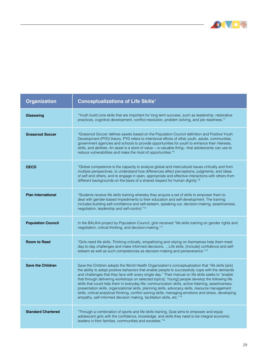

 $\overline{\phantom{a}}$ 

| <b>Organization</b>       | <b>Conceptualizations of Life Skills<sup>1</sup></b>                                                                                                                                                                                                                                                                                                                                                                                                                                                                                                                                                                                                                                                                                                                                                            |
|---------------------------|-----------------------------------------------------------------------------------------------------------------------------------------------------------------------------------------------------------------------------------------------------------------------------------------------------------------------------------------------------------------------------------------------------------------------------------------------------------------------------------------------------------------------------------------------------------------------------------------------------------------------------------------------------------------------------------------------------------------------------------------------------------------------------------------------------------------|
| Glasswing                 | "Youth build core skills that are important for long term success, such as leadership, restorative<br>practices, cognitive development, conflict-resolution, problem solving, and job readiness."7                                                                                                                                                                                                                                                                                                                                                                                                                                                                                                                                                                                                              |
| <b>Grassroot Soccer</b>   | "Grassroot Soccer defines assets based on the Population Council definition and Positive Youth<br>Development (PYD) theory. PYD refers to intentional efforts of other youth, adults, communities,<br>government agencies and schools to provide opportunities for youth to enhance their interests,<br>skills, and abilities. An asset is a store of value - a valuable thing-that adolescents can use to<br>reduce vulnerabilities and make the most of opportunities." <sup>8</sup>                                                                                                                                                                                                                                                                                                                          |
| <b>OECD</b>               | "Global competence is the capacity to analyze global and intercultural issues critically and from<br>multiple perspectives, to understand how differences affect perceptions, judgments, and ideas<br>of self and others, and to engage in open, appropriate and effective interactions with others from<br>different backgrounds on the basis of a shared respect for human dignity." <sup>9</sup>                                                                                                                                                                                                                                                                                                                                                                                                             |
| <b>Plan International</b> | "Students receive life skills training whereby they acquire a set of skills to empower them to<br>deal with gender-based impediments to their education and self-development. The training<br>includes building self-confidence and self-esteem, speaking out, decision-making, assertiveness,<br>negotiation, leadership and self-control." <sup>10</sup>                                                                                                                                                                                                                                                                                                                                                                                                                                                      |
| <b>Population Council</b> | In the BALIKA project by Population Council, girls received "life skills training on gender rights and<br>negotiation, critical thinking, and decision-making." <sup>11</sup>                                                                                                                                                                                                                                                                                                                                                                                                                                                                                                                                                                                                                                   |
| <b>Room to Read</b>       | "Girls need life skills. Thinking critically, empathizing and relying on themselves help them meet<br>day-to-day challenges and make informed decisions.  Life skills, [include] confidence and self-<br>esteem as well as such competencies as decision-making and perseverance." <sup>12</sup>                                                                                                                                                                                                                                                                                                                                                                                                                                                                                                                |
| <b>Save the Children</b>  | Save the Children adopts the World Health Organization's conceptualization that "life skills [are]<br>the ability to adopt positive behaviors that enable people to successfully cope with the demands<br>and challenges that they face with every single day." Their manual on life skills seeks to "enable"<br>that through delivering workshops on selected topics. Young] people develop the following life<br>skills that could help them in everyday life: communication skills, active listening, assertiveness,<br>presentation skills, organizational skills, planning skills, advocacy skills, resource management<br>skills, critical-analytical thinking, conflict solving skills, managing emotions and stress, developing<br>empathy, self-informed decision making, facilitation skills, etc."13 |
| <b>Standard Chartered</b> | "Through a combination of sports and life skills training, Goal aims to empower and equip<br>adolescent girls with the confidence, knowledge, and skills they need to be integral economic<br>leaders in their families, communities and societies." <sup>14</sup>                                                                                                                                                                                                                                                                                                                                                                                                                                                                                                                                              |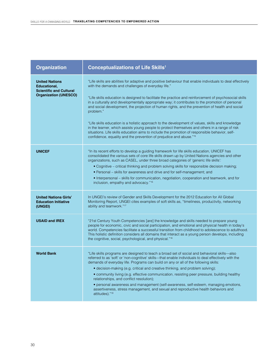| <b>Organization</b>                                                                                     | <b>Conceptualizations of Life Skills1</b>                                                                                                                                                                                                                                                                                                                                                                                                                                                                                                                                                                                                                                                                                           |
|---------------------------------------------------------------------------------------------------------|-------------------------------------------------------------------------------------------------------------------------------------------------------------------------------------------------------------------------------------------------------------------------------------------------------------------------------------------------------------------------------------------------------------------------------------------------------------------------------------------------------------------------------------------------------------------------------------------------------------------------------------------------------------------------------------------------------------------------------------|
| <b>United Nations</b><br>Educational,<br><b>Scientific and Cultural</b><br><b>Organization (UNESCO)</b> | "Life skills are abilities for adaptive and positive behaviour that enable individuals to deal effectively<br>with the demands and challenges of everyday life."<br>"Life skills education is designed to facilitate the practice and reinforcement of psychosocial skills<br>in a culturally and developmentally appropriate way; it contributes to the promotion of personal<br>and social development, the projection of human rights, and the prevention of health and social<br>problem."                                                                                                                                                                                                                                      |
|                                                                                                         | "Life skills education is a holistic approach to the development of values, skills and knowledge<br>in the learner, which assists young people to protect themselves and others in a range of risk<br>situations. Life skills education aims to include the promotion of responsible behavior, self-<br>confidence, equality and the prevention of prejudice and abuse."15                                                                                                                                                                                                                                                                                                                                                          |
| <b>UNICEF</b>                                                                                           | "In its recent efforts to develop a guiding framework for life skills education, UNICEF has<br>consolidated the various sets of core life skills drawn up by United Nations agencies and other<br>organizations, such as CASEL, under three broad categories of 'generic life skills':<br>• Cognitive – critical thinking and problem solving skills for responsible decision making;<br>· Personal - skills for awareness and drive and for self-management; and<br>• Interpersonal – skills for communication, negotiation, cooperation and teamwork, and for<br>inclusion, empathy and advocacy." <sup>16</sup>                                                                                                                  |
| <b>United Nations Girls'</b><br><b>Education Initiative</b><br>(UNGEI)                                  | In UNGEI's review of Gender and Skills Development for the 2012 Education for All Global<br>Monitoring Report, UNGEI cites examples of soft skills as, "timeliness, productivity, networking<br>ability and teamwork." <sup>17</sup>                                                                                                                                                                                                                                                                                                                                                                                                                                                                                                |
| <b>USAID and IREX</b>                                                                                   | "21st Century Youth Competencies [are] the knowledge and skills needed to prepare young<br>people for economic, civic and social participation, and emotional and physical health in today's<br>world. Competencies facilitate a successful transition from childhood to adolescence to adulthood.<br>This holistic definition considers all domains that interact as a young person develops, including<br>the cognitive, social, psychological, and physical." <sup>18</sup>                                                                                                                                                                                                                                                      |
| <b>World Bank</b>                                                                                       | "Life skills programs are designed to teach a broad set of social and behavioral skills-also<br>referred to as 'soft' or 'non-cognitive' skills-that enable individuals to deal effectively with the<br>demands of everyday life. Programs can build on any or all of the following skills:<br>• decision-making (e.g. critical and creative thinking, and problem solving);<br>• community living (e.g. effective communication, resisting peer pressure, building healthy<br>relationships, and conflict resolution);<br>• personal awareness and management (self-awareness, self-esteem, managing emotions,<br>assertiveness, stress management, and sexual and reproductive health behaviors and<br>attitudes)." <sup>19</sup> |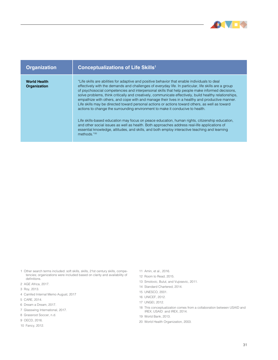

| <b>Organization</b>                 | <b>Conceptualizations of Life Skills<sup>1</sup></b>                                                                                                                                                                                                                                                                                                                                                                                                                                                                                                                                                                                                                                                                                                                                                                                                                                                                                                                                                                        |
|-------------------------------------|-----------------------------------------------------------------------------------------------------------------------------------------------------------------------------------------------------------------------------------------------------------------------------------------------------------------------------------------------------------------------------------------------------------------------------------------------------------------------------------------------------------------------------------------------------------------------------------------------------------------------------------------------------------------------------------------------------------------------------------------------------------------------------------------------------------------------------------------------------------------------------------------------------------------------------------------------------------------------------------------------------------------------------|
| <b>World Health</b><br>Organization | "Life skills are abilities for adaptive and positive behavior that enable individuals to deal<br>effectively with the demands and challenges of everyday life. In particular, life skills are a group<br>of psychosocial competencies and interpersonal skills that help people make informed decisions.<br>solve problems, think critically and creatively, communicate effectively, build healthy relationships,<br>empathize with others, and cope with and manage their lives in a healthy and productive manner.<br>Life skills may be directed toward personal actions or actions toward others, as well as toward<br>actions to change the surrounding environment to make it conducive to health.<br>Life skills-based education may focus on peace education, human rights, citizenship education,<br>and other social issues as well as health. Both approaches address real-life applications of<br>essential knowledge, attitudes, and skills, and both employ interactive teaching and learning<br>methods."20 |

- 1 Other search terms included: soft skills, skills, 21st century skills, competencies; organizations were included based on clarity and availability of definitions.
- 2 AGE Africa, 2017.
- 3 Roy, 2013.
- 4 Camfed Internal Memo August, 2017
- 5 CARE, 2014.
- 6 Dream a Dream, 2017.
- 7 Glasswing International, 2017.
- 8 Grassroot Soccer, n.d.
- 9 OECD, 2016.
- 10 Fancy, 2012.
- 11 Amin, et al., 2016.
- 12 Room to Read, 2015.
- 13 Smolovic, Bulut, and Vujosevic, 2011.
- 14 Standard Chartered, 2014.
- 15 UNESCO, 2001.
- 16 UNICEF, 2012.
- 17 UNGEI, 2012.
- 18 This conceptualization comes from a collaboration between USAID and IREX; USAID and IREX, 2014.
- 19 World Bank, 2013.
- 20 World Health Organization, 2003.